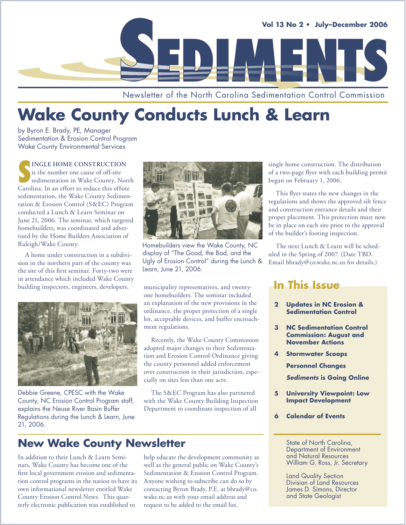

Newsletter of the North Carolina Sedimentation Control Commission

# **Wake County Conducts Lunch & Learn**

by Byron E. Brady, PE, Manager Sedimentation & Erosion Control Program Wake County Environmental Services

**SP INGLE HOME CONSTRUCTION**<br>
is the number one cause of off-site<br>
sedimentation in Wake County, North<br>
Carolina. In an effort to reduce this offsite **INGLE HOME CONSTRUCTION** is the number one cause of off-site sedimentation in Wake County, North sedimentation, the Wake County Sedimentation & Erosion Control (S&EC) Program conducted a Lunch & Learn Seminar on June 21, 2006. The seminar, which targeted homebuilders, was coordinated and advertised by the Home Builders Association of Raleigh/Wake County.

A home under construction in a subdivision in the northern part of the county was the site of this first seminar. Forty-two were in attendance which included Wake County building inspectors, engineers, developers, municipality representatives, and twenty-



Debbie Greene, CPESC with the Wake County, NC Erosion Control Program staff, explains the Neuse River Basin Buffer Regulations during the Lunch & Learn, June 21, 2006.



Homebuilders view the Wake County, NC display of "The Good, the Bad, and the Ugly of Erosion Control" during the Lunch & Learn, June 21, 2006.

one homebuilders. The seminar included an explanation of the new provisions in the ordinance, the proper protection of a single lot, acceptable devices, and buffer encroachment regulations.

Recently, the Wake County Commission adopted major changes to their Sedimentation and Erosion Control Ordinance giving the county personnel added enforcement over construction in their jurisdiction, especially on sites less than one acre.

The S&EC Program has also partnered with the Wake County Building Inspection Department to coordinate inspection of all

**New Wake County Newsletter**

In addition to their Lunch & Learn Seminars, Wake County has become one of the first local government erosion and sedimentation control programs in the nation to have its own informational newsletter entitled Wake County Erosion Control News. This quarterly electronic publication was established to

### help educate the development community as well as the general public on Wake County's Sedimentation & Erosion Control Program. Anyone wishing to subscribe can do so by contacting Byron Brady, P.E. at bbrady@co. wake.nc.us with your email address and request to be added to the email list.

single home construction. The distribution of a two-page flyer with each building permit began on February 1, 2006.

This flyer states the new changes in the regulations and shows the approved silt fence and construction entrance details and their proper placement. This protection must now be in place on each site prior to the approval of the builder's footing inspection.

The next Lunch & Learn will be scheduled in the Spring of 2007. (Date TBD. Email bbrady@co.wake.nc.us for details.)

## **In This Issue**

- **2 Updates in NC Erosion & Sedimentation Control**
- **3 NC Sedimentation Control Commission: August and November Actions**
- **4 Stormwater Scoops**

 **Personnel Changes**

 **Sediments is Going Online**

- **5 University Viewpoint: Low Impact Development**
- **6 Calendar of Events**

State of North Carolina, Department of Environment and Natural Resources William G. Ross, Jr. Secretary

Land Quality Section Division of Land Resources James D. Simons, Director and State Geologist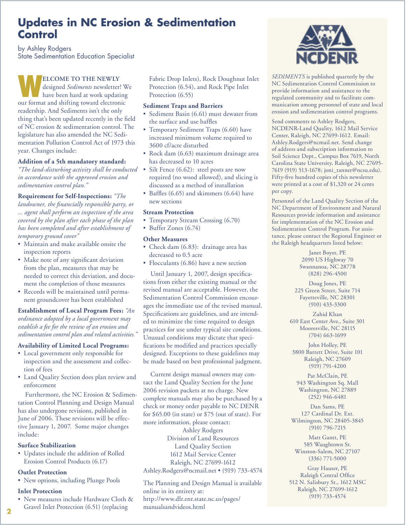## **Updates in NC Erosion & Sedimentation Control**

by Ashley Rodgers State Sedimentation Education Specialist

ELCOME TO THE NEWLY<br>
designed *Sediments* newsletter! W<br>
have been hard at work updating designed *Sediments* newsletter! We our format and shifting toward electronic readership. And Sediments isn't the only thing that's been updated recently in the field of NC erosion & sedimentation control. The legislature has also amended the NC Sedimentation Pollution Control Act of 1973 this year. Changes include:

### **Addition of a 5th mandatory standard:**

*"The land-disturbing activity shall be conducted in accordance with the approved erosion and sedimentation control plan."*

**Requirement for Self-Inspections:** *"The landowner, the financially responsible party, or ... agent shall perform an inspection of the area covered by the plan after each phase of the plan has been completed and after establishment of temporary ground cover"*

- Maintain and make available onsite the inspection reports
- Make note of any significant deviation from the plan, measures that may be needed to correct this deviation, and document the completion of those measures
- Records will be maintained until perma-• nent groundcover has been established

**Establishment of Local Program Fees:** *"An ordinance adopted by a local government may establish a fee for the review of an erosion and sedimentation control plan and related activities."*

### **Availability of Limited Local Programs:**

- Local government only responsible for inspection and the assessment and collection of fees
- Land Quality Section does plan review and enforcement

Furthermore, the NC Erosion & Sedimentation Control Planning and Design Manual has also undergone revisions, published in June of 2006. These revisions will be effective January 1, 2007. Some major changes include:

### **Surface Stabilization**

Updates include the addition of Rolled • Erosion Control Products (6.17)

### **Outlet Protection**

• New options, including Plunge Pools

### **Inlet Protection**

• New measures include Hardware Cloth & Gravel Inlet Protection (6.51) (replacing

Fabric Drop Inlets), Rock Doughnut Inlet Protection (6.54), and Rock Pipe Inlet Protection (6.55)

### **Sediment Traps and Barriers**

- Sediment Basin (6.61) must dewater from the surface and use baffles
- Temporary Sediment Traps (6.60) have increased minimum volume required to 3600 cf/acre disturbed
- Rock dam (6.63) maximum drainage area has decreased to 10 acres
- Silt Fence (6.62): steel posts are now required (no wood allowed), and slicing is discussed as a method of installation •
- Baffles (6.65) and skimmers (6.64) have new sections

#### **Stream Protection**

- Temporary Stream Crossing (6.70)
- Buffer Zones (6.74)

### **Other Measures**

- Check dam (6.83): drainage area has decreased to 0.5 acre
- Flocculants (6.86) have a new section

Until January 1, 2007, design specifications from either the existing manual or the revised manual are acceptable. However, the Sedimentation Control Commission encourages the immediate use of the revised manual. Specifications are guidelines, and are intended to minimize the time required to design practices for use under typical site conditions. Unusual conditions may dictate that specifications be modified and practices specially designed. Exceptions to these guidelines may be made based on best professional judgment.

Current design manual owners may contact the Land Quality Section for the June 2006 revision packets at no charge. New complete manuals may also be purchased by a check or money order payable to NC DENR for \$65.00 (in state) or \$75 (out of state). For more information, please contact:

Ashley Rodgers Division of Land Resources Land Quality Section 1612 Mail Service Center Raleigh, NC 27699-1612 Ashley.Rodgers@ncmail.net • (919) 733-4574

The Planning and Design Manual is available online in its entirety at: http://www.dlr.enr.state.nc.us/pages/ manualsandvideos.html



*SEDIMENTS* is published quarterly by the NC Sedimentation Control Commission to provide information and assistance to the regulated community and to facilitate communication among personnel of state and local erosion and sedimentation control programs.

Send comments to Ashley Rodgers, NCDENR-Land Quality, 1612 Mail Service Center, Raleigh, NC 27699-1612. Email: Ashley.Rodgers@ncmail.net. Send change of address and subscription information to Soil Science Dept., Campus Box 7619, North Carolina State University, Raleigh, NC 27695- 7619 (919) 513-1678; joni\_tanner@ncsu.edu). Fifty-five hundred copies of this newsletter were printed at a cost of \$1,320 or 24 cents per copy.

Personnel of the Land Quality Section of the NC Department of Environment and Natural Resources provide information and assistance for implementation of the NC Erosion and Sedimentation Control Program. For assistance, please contact the Regional Engineer or the Raleigh headquarters listed below:

> Janet Boyer, PE 2090 US Highway 70 Swannanoa, NC 28778 (828) 296-4500

Doug Jones, PE 225 Green Street, Suite 714 Fayetteville, NC 28301 (910) 433-3300

Zahid Khan 610 East Center Ave., Suite 301 Mooresville, NC 28115 (704) 663-1699

John Holley, PE 3800 Barrett Drive, Suite 101 Raleigh, NC 27609 (919) 791-4200

Pat McClain, PE 943 Washington Sq. Mall Washington, NC 27889 (252) 946-6481

Dan Sams, PE 127 Cardinal Dr. Ext. Wilmington, NC 28405-3845 (910) 796-7215

Matt Gantt, PE 585 Waughtown St. Winston-Salem, NC 27107 (336) 771-5000

Gray Hauser, PE Raleigh Central Office 512 N. Salisbury St., 1612 MSC Raleigh, NC 27699-1612 (919) 733-4574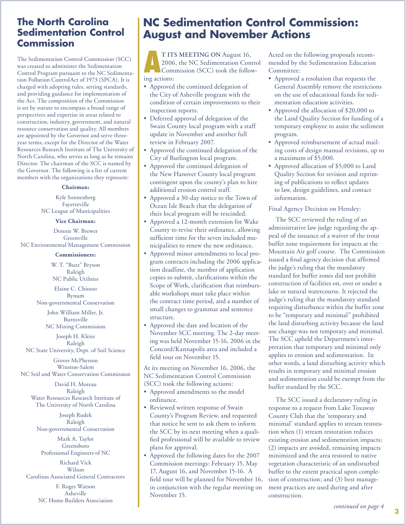## **The North Carolina Sedimentation Control Commission**

The Sedimentation Control Commission (SCC) was created to administer the Sedimentation Control Program pursuant to the NC Sedimentation Pollution ControlAct of 1973 (SPCA). It is charged with adopting rules, setting standards, and providing guidance for implementation of the Act. The composition of the Commission is set by statute to encompass a broad range of perspectives and expertise in areas related to construction, industry, government, and natural resource conservation and quality. All members are appointed by the Governor and serve threeyear terms, except for the Director of the Water Resources Research Institute of The University of North Carolina, who serves as long as he remains Director. The chairman of the SCC is named by the Governor. The following is a list of current members with the organizations they represent:

### **Chairman:**

Kyle Sonnenberg Fayetteville NC League of Municipalities

### **Vice Chairman:**

Donnie W. Brewer Greenville NC Environmental Management Commission

#### **Commissioners:**

W. T. "Buzz" Bryson Raleigh NC Public Utilities

Elaine C. Chiosso Bynum Non-governmental Conservation

> John William Miller, Jr. Burnsville NC Mining Commission

Joseph H. Kleiss Raleigh

NC State University, Dept. of Soil Science

Grover McPherson Winston-Salem NC Soil and Water Conservation Commission

David H. Moreau Raleigh Water Resources Research Institute of The University of North Carolina

Joseph Rudek Raleigh Non-governmental Conservation

Mark A. Taylor Greensboro Professional Engineers of NC

Richard Vick Wilson Carolinas Associated General Contractors

> F. Roger Watson Asheville NC Home Builders Association

# **NC Sedimentation Control Commission: August and November Actions**

**AT ITS MEETING ON** August 16, 2006, the NC Sedimentation Contraction Commission (SCC) took the following 2006, the NC Sedimentation Control Commission (SCC) took the following actions:

- Approved the continued delegation of the City of Asheville program with the condition of certain improvements to their inspection reports.
- Deferred approval of delegation of the Swain County local program with a staff update in November and another full review in February 2007.
- Approved the continued delegation of the City of Burlington local program.
- Approved the continued delegation of the New Hanover County local program contingent upon the county's plan to hire additional erosion control staff.
- Approved a 30-day notice to the Town of Ocean Isle Beach that the delegation of their local program will be rescinded.
- Approved a 12-month extension for Wake County to revise their ordinance, allowing sufficient time for the seven included municipalities to renew the new ordinance.
- Approved minor amendments to local program contracts including the 2006 application deadline, the number of application copies to submit, clarifications within the Scope of Work, clarification that reimbursable workshops must take place within the contract time period, and a number of small changes to grammar and sentence structure. •
- Approved the date and location of the November SCC meeting. The 2-day meeting was held November 15-16, 2006 in the Concord/Kannapolis area and included a field tour on November 15.

At its meeting on November 16, 2006, the NC Sedimentation Control Commission (SCC) took the following actions:

- Approved amendments to the model ordinance.
- Reviewed written response of Swain County's Program Review, and requested that notice be sent to ask them to inform the SCC by its next meeting when a qualified professional will be available to review plans for approval.
- Approved the following dates for the 2007 Commission meetings: February 15, May 17, August 16, and November 15-16. A field tour will be planned for November 16, in conjunction with the regular meeting on November 15. •

Acted on the following proposals recommended by the Sedimentation Education Committee:

- Approved a resolution that requests the General Assembly remove the restrictions on the use of educational funds for sedimentation education activities.
- Approved the allocation of \$20,000 to the Land Quality Section for funding of a temporary employee to assist the sediment program.
- Approved reimbursement of actual mail-• ing costs of design manual revisions, up to a maximum of \$5,000.
- Approved allocation of \$5,000 to Land Quality Section for revision and reprinting of publications to reflect updates to law, design guidelines, and contact information.

### Final Agency Decision on Hensley:

The SCC reviewed the ruling of an administrative law judge regarding the appeal of the issuance of a waiver of the trout buffer zone requirement for impacts at the Mountain Air golf course. The Commission issued a final agency decision that affirmed the judge's ruling that the mandatory standard for buffer zones did not prohibit construction of facilities on, over or under a lake or natural watercourse. It rejected the judge's ruling that the mandatory standard requiring disturbance within the buffer zone to be "temporary and minimal" prohibited the land disturbing activity because the land use change was not temporary and minimal. The SCC upheld the Department's interpretation that temporary and minimal only applies to erosion and sedimentation. In other words, a land disturbing activity which results in temporary and minimal erosion and sedimentation could be exempt from the buffer standard by the SCC.

The SCC issued a declaratory ruling in response to a request from Lake Toxaway County Club that the 'temporary and minimal' standard applies to stream restoration when (1) stream restoration reduces existing erosion and sedimentation impacts; (2) impacts are avoided, remaining impacts minimized and the area restored to native vegetation characteristic of an undisturbed buffer to the extent practical upon completion of construction; and (3) best management practices are used during and after construction.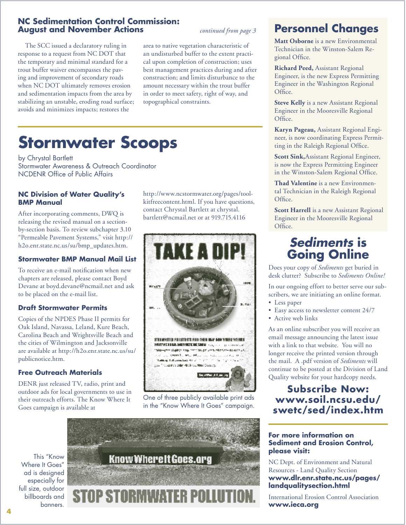### **NC Sedimentation Control Commission: August and November Actions**

The SCC issued a declaratory ruling in response to a request from NC DOT that the temporary and minimal standard for a trout buffer waiver encompasses the paving and improvement of secondary roads when NC DOT ultimately removes erosion and sedimentation impacts from the area by stabilizing an unstable, eroding road surface; avoids and minimizes impacts; restores the

*continued from page 3*

area to native vegetation characteristic of an undisturbed buffer to the extent practical upon completion of construction; uses best management practices during and after construction; and limits disturbance to the amount necessary within the trout buffer in order to meet safety, right of way, and topographical constraints.

# **Stormwater Scoops**

by Chrystal Bartlett Stormwater Awareness & Outreach Coordinator NCDENR Office of Public Affairs

### **NC Division of Water Quality's BMP Manual**

After incorporating comments, DWQ is releasing the revised manual on a sectionby-section basis. To review subchapter 3.10 "Permeable Pavement Systems," visit http:// h2o.enr.state.nc.us/su/bmp\_updates.htm.

### **Stormwater BMP Manual Mail List**

To receive an e-mail notification when new chapters are released, please contact Boyd Devane at boyd.devane@ncmail.net and ask to be placed on the e-mail list.

### **Draft Stormwater Permits**

Copies of the NPDES Phase II permits for Oak Island, Navassa, Leland, Kure Beach, Carolina Beach and Wrightsville Beach and the cities of Wilmington and Jacksonville are available at http://h2o.enr.state.nc.us/su/ publicnotice.htm.

### **Free Outreach Materials**

DENR just released TV, radio, print and outdoor ads for local governments to use in their outreach efforts. The Know Where It Goes campaign is available at

http://www.ncstormwater.org/pages/toolkitfreecontent.html. If you have questions, contact Chrystal Bartlett at chrystal. bartlett@ncmail.net or at 919.715.4116



One of three publicly available print ads in the "Know Where It Goes" campaign.



## **Personnel Changes**

**Matt Osborne** is a new Environmental Technician in the Winston-Salem Regional Office.

**Richard Peed,** Assistant Regional Engineer, is the new Express Permitting Engineer in the Washington Regional Office.

**Steve Kelly** is a new Assistant Regional Engineer in the Mooresville Regional Office.

**Karyn Pageau,** Assistant Regional Engineer, is now coordinating Express Permitting in the Raleigh Regional Office.

**Scott Sink,**Assistant Regional Engineer, is now the Express Permitting Engineer in the Winston-Salem Regional Office.

**Thad Valentine** is a new Environmental Technician in the Raleigh Regional Office.

**Scott Harrell** is a new Assistant Regional Engineer in the Mooresville Regional Office.

# **Sediments is Going Online**

Does your copy of *Sediments* get buried in desk clutter? Subscribe to *Sediments Online!*

In our ongoing effort to better serve our subscribers, we are initiating an online format.

- Less paper
- Easy access to newsletter content 24/7
- Active web links •

As an online subscriber you will receive an email message announcing the latest issue with a link to that website. You will no longer receive the printed version through the mail. A .pdf version of *Sediments* will continue to be posted at the Division of Land Quality website for your hardcopy needs.

## **Subscribe Now: www.soil.ncsu.edu/ swetc/sed/index.htm**

### **For more information on Sediment and Erosion Control, please visit:**

NC Dept. of Environment and Natural Resources - Land Quality Section **www.dlr.enr.state.nc.us/pages/ landqualitysection.html**

International Erosion Control Association **www.ieca.org**

This "Know Where It Goes" ad is designed especially for full size, outdoor billboards and banners.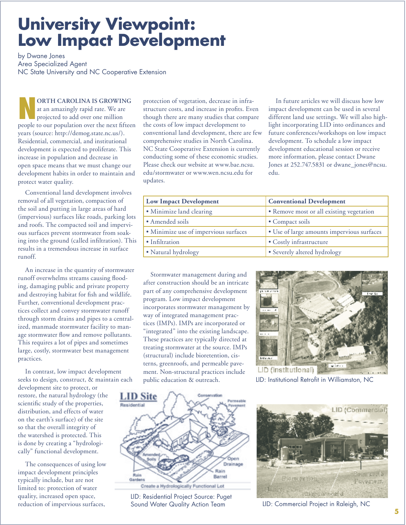# **University Viewpoint: Low Impact Development**

by Dwane Jones Area Specialized Agent NC State University and NC Cooperative Extension

**NORTH CAROLINA IS GROWING**<br>at an amazingly rapid rate. We are<br>projected to add over one million at an amazingly rapid rate. We are projected to add over one million people to our population over the next fifteen years (source: http://demog.state.nc.us/). Residential, commercial, and institutional development is expected to proliferate. This increase in population and decrease in open space means that we must change our development habits in order to maintain and protect water quality.

Conventional land development involves removal of all vegetation, compaction of the soil and putting in large areas of hard (impervious) surfaces like roads, parking lots and roofs. The compacted soil and impervious surfaces prevent stormwater from soaking into the ground (called infiltration). This results in a tremendous increase in surface runoff.

An increase in the quantity of stormwater runoff overwhelms streams causing flooding, damaging public and private property and destroying habitat for fish and wildlife. Further, conventional development practices collect and convey stormwater runoff through storm drains and pipes to a centralized, manmade stormwater facility to manage stormwater flow and remove pollutants. This requires a lot of pipes and sometimes large, costly, stormwater best management practices.

In contrast, low impact development seeks to design, construct, & maintain each

development site to protect, or restore, the natural hydrology (the scientific study of the properties, distribution, and effects of water on the earth's surface) of the site so that the overall integrity of the watershed is protected. This is done by creating a "hydrologically" functional development.

The consequences of using low impact development principles typically include, but are not limited to: protection of water quality, increased open space, reduction of impervious surfaces,

protection of vegetation, decrease in infrastructure costs, and increase in profits. Even though there are many studies that compare the costs of low impact development to conventional land development, there are few comprehensive studies in North Carolina. NC State Cooperative Extension is currently conducting some of these economic studies. Please check our website at www.bae.ncsu. edu/stormwater or www.wen.ncsu.edu for updates.

In future articles we will discuss how low impact development can be used in several different land use settings. We will also highlight incorporating LID into ordinances and future conferences/workshops on low impact development. To schedule a low impact development educational session or receive more information, please contact Dwane Jones at 252.747.5831 or dwane\_jones@ncsu. edu.

| <b>Low Impact Development</b>         | <b>Conventional Development</b>            |
|---------------------------------------|--------------------------------------------|
| • Minimize land clearing              | • Remove most or all existing vegetation   |
| • Amended soils                       | • Compact soils                            |
| · Minimize use of impervious surfaces | · Use of large amounts impervious surfaces |
| • Infiltration                        | • Costly infrastructure                    |
| • Natural hydrology                   | • Severely altered hydrology               |

Stormwater management during and after construction should be an intricate part of any comprehensive development program. Low impact development incorporates stormwater management by way of integrated management practices (IMPs). IMPs are incorporated or "integrated" into the existing landscape. These practices are typically directed at treating stormwater at the source. IMPs (structural) include bioretention, cisterns, greenroofs, and permeable pavement. Non-structural practices include public education & outreach.



LID: Institutional Retrofit in Williamston, NC



LID: Residential Project Source: Puget



Sound Water Quality Action Team LID: Commercial Project in Raleigh, NC